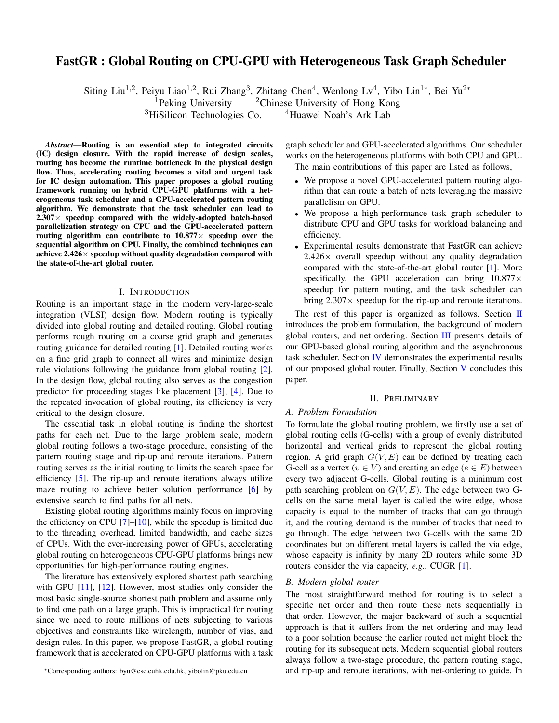# FastGR : Global Routing on CPU-GPU with Heterogeneous Task Graph Scheduler

Siting Liu<sup>1,2</sup>, Peiyu Liao<sup>1,2</sup>, Rui Zhang<sup>3</sup>, Zhitang Chen<sup>4</sup>, Wenlong Lv<sup>4</sup>, Yibo Lin<sup>1\*</sup>, Bei Yu<sup>2\*</sup>

<sup>1</sup>Peking University  $\frac{1}{2}$ Chinese University of Hong Kong

 $3H$ iSilicon Technologies Co.  $4H$ uawei Noah's Ark Lab

*Abstract*—Routing is an essential step to integrated circuits (IC) design closure. With the rapid increase of design scales, routing has become the runtime bottleneck in the physical design flow. Thus, accelerating routing becomes a vital and urgent task for IC design automation. This paper proposes a global routing framework running on hybrid CPU-GPU platforms with a heterogeneous task scheduler and a GPU-accelerated pattern routing algorithm. We demonstrate that the task scheduler can lead to  $2.307\times$  speedup compared with the widely-adopted batch-based parallelization strategy on CPU and the GPU-accelerated pattern routing algorithm can contribute to  $10.877\times$  speedup over the sequential algorithm on CPU. Finally, the combined techniques can achieve  $2.426 \times$  speedup without quality degradation compared with the state-of-the-art global router.

# I. INTRODUCTION

Routing is an important stage in the modern very-large-scale integration (VLSI) design flow. Modern routing is typically divided into global routing and detailed routing. Global routing performs rough routing on a coarse grid graph and generates routing guidance for detailed routing [\[1\]](#page-5-0). Detailed routing works on a fine grid graph to connect all wires and minimize design rule violations following the guidance from global routing [\[2\]](#page-5-1). In the design flow, global routing also serves as the congestion predictor for proceeding stages like placement [\[3\]](#page-5-2), [\[4\]](#page-5-3). Due to the repeated invocation of global routing, its efficiency is very critical to the design closure.

The essential task in global routing is finding the shortest paths for each net. Due to the large problem scale, modern global routing follows a two-stage procedure, consisting of the pattern routing stage and rip-up and reroute iterations. Pattern routing serves as the initial routing to limits the search space for efficiency [\[5\]](#page-5-4). The rip-up and reroute iterations always utilize maze routing to achieve better solution performance [\[6\]](#page-5-5) by extensive search to find paths for all nets.

Existing global routing algorithms mainly focus on improving the efficiency on CPU  $[7]$ – $[10]$ , while the speedup is limited due to the threading overhead, limited bandwidth, and cache sizes of CPUs. With the ever-increasing power of GPUs, accelerating global routing on heterogeneous CPU-GPU platforms brings new opportunities for high-performance routing engines.

The literature has extensively explored shortest path searching with GPU [\[11\]](#page-5-8), [\[12\]](#page-5-9). However, most studies only consider the most basic single-source shortest path problem and assume only to find one path on a large graph. This is impractical for routing since we need to route millions of nets subjecting to various objectives and constraints like wirelength, number of vias, and design rules. In this paper, we propose FastGR, a global routing framework that is accelerated on CPU-GPU platforms with a task

<sup>∗</sup>Corresponding authors: byu@cse.cuhk.edu.hk, yibolin@pku.edu.cn

graph scheduler and GPU-accelerated algorithms. Our scheduler works on the heterogeneous platforms with both CPU and GPU.

The main contributions of this paper are listed as follows,

- We propose a novel GPU-accelerated pattern routing algorithm that can route a batch of nets leveraging the massive parallelism on GPU.
- We propose a high-performance task graph scheduler to distribute CPU and GPU tasks for workload balancing and efficiency.
- Experimental results demonstrate that FastGR can achieve  $2.426 \times$  overall speedup without any quality degradation compared with the state-of-the-art global router [\[1\]](#page-5-0). More specifically, the GPU acceleration can bring  $10.877 \times$ speedup for pattern routing, and the task scheduler can bring  $2.307 \times$  speedup for the rip-up and reroute iterations.

The rest of this paper is organized as follows. Section  $\Pi$ introduces the problem formulation, the background of modern global routers, and net ordering. Section [III](#page-1-0) presents details of our GPU-based global routing algorithm and the asynchronous task scheduler. Section [IV](#page-4-0) demonstrates the experimental results of our proposed global router. Finally, Section [V](#page-5-10) concludes this paper.

### II. PRELIMINARY

### <span id="page-0-0"></span>*A. Problem Formulation*

To formulate the global routing problem, we firstly use a set of global routing cells (G-cells) with a group of evenly distributed horizontal and vertical grids to represent the global routing region. A grid graph  $G(V, E)$  can be defined by treating each G-cell as a vertex ( $v \in V$ ) and creating an edge ( $e \in E$ ) between every two adjacent G-cells. Global routing is a minimum cost path searching problem on  $G(V, E)$ . The edge between two Gcells on the same metal layer is called the wire edge, whose capacity is equal to the number of tracks that can go through it, and the routing demand is the number of tracks that need to go through. The edge between two G-cells with the same 2D coordinates but on different metal layers is called the via edge, whose capacity is infinity by many 2D routers while some 3D routers consider the via capacity, *e.g.*, CUGR [\[1\]](#page-5-0).

### *B. Modern global router*

The most straightforward method for routing is to select a specific net order and then route these nets sequentially in that order. However, the major backward of such a sequential approach is that it suffers from the net ordering and may lead to a poor solution because the earlier routed net might block the routing for its subsequent nets. Modern sequential global routers always follow a two-stage procedure, the pattern routing stage, and rip-up and reroute iterations, with net-ordering to guide. In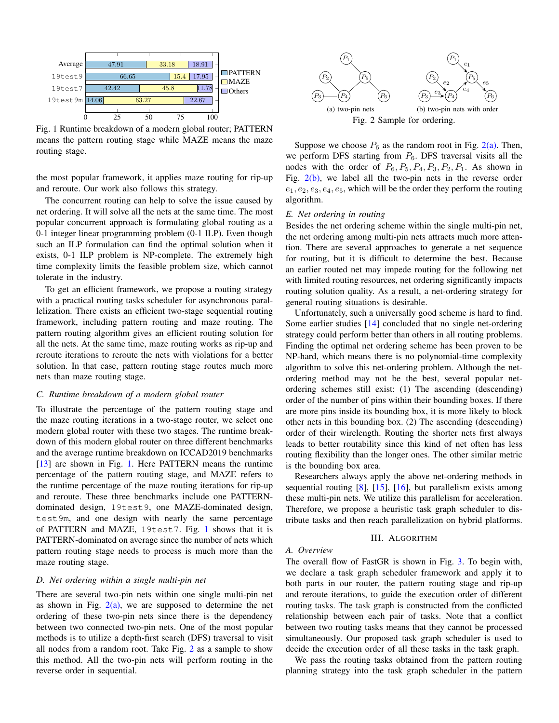<span id="page-1-1"></span>

Fig. 1 Runtime breakdown of a modern global router; PATTERN means the pattern routing stage while MAZE means the maze routing stage.

the most popular framework, it applies maze routing for rip-up and reroute. Our work also follows this strategy.

The concurrent routing can help to solve the issue caused by net ordering. It will solve all the nets at the same time. The most popular concurrent approach is formulating global routing as a 0-1 integer linear programming problem (0-1 ILP). Even though such an ILP formulation can find the optimal solution when it exists, 0-1 ILP problem is NP-complete. The extremely high time complexity limits the feasible problem size, which cannot tolerate in the industry.

To get an efficient framework, we propose a routing strategy with a practical routing tasks scheduler for asynchronous parallelization. There exists an efficient two-stage sequential routing framework, including pattern routing and maze routing. The pattern routing algorithm gives an efficient routing solution for all the nets. At the same time, maze routing works as rip-up and reroute iterations to reroute the nets with violations for a better solution. In that case, pattern routing stage routes much more nets than maze routing stage.

# *C. Runtime breakdown of a modern global router*

To illustrate the percentage of the pattern routing stage and the maze routing iterations in a two-stage router, we select one modern global router with these two stages. The runtime breakdown of this modern global router on three different benchmarks and the average runtime breakdown on ICCAD2019 benchmarks [\[13\]](#page-5-11) are shown in Fig. [1.](#page-1-1) Here PATTERN means the runtime percentage of the pattern routing stage, and MAZE refers to the runtime percentage of the maze routing iterations for rip-up and reroute. These three benchmarks include one PATTERNdominated design, 19test9, one MAZE-dominated design, test9m, and one design with nearly the same percentage of PATTERN and MAZE, 19test7. Fig. [1](#page-1-1) shows that it is PATTERN-dominated on average since the number of nets which pattern routing stage needs to process is much more than the maze routing stage.

### *D. Net ordering within a single multi-pin net*

There are several two-pin nets within one single multi-pin net as shown in Fig.  $2(a)$ , we are supposed to determine the net ordering of these two-pin nets since there is the dependency between two connected two-pin nets. One of the most popular methods is to utilize a depth-first search (DFS) traversal to visit all nodes from a random root. Take Fig. [2](#page-1-3) as a sample to show this method. All the two-pin nets will perform routing in the reverse order in sequential.

<span id="page-1-4"></span><span id="page-1-3"></span><span id="page-1-2"></span>

Suppose we choose  $P_6$  as the random root in Fig. [2\(a\).](#page-1-2) Then, we perform DFS starting from  $P_6$ . DFS traversal visits all the nodes with the order of  $P_6$ ,  $P_5$ ,  $P_4$ ,  $P_3$ ,  $P_2$ ,  $P_1$ . As shown in Fig.  $2(b)$ , we label all the two-pin nets in the reverse order  $e_1, e_2, e_3, e_4, e_5$ , which will be the order they perform the routing algorithm.

### *E. Net ordering in routing*

Besides the net ordering scheme within the single multi-pin net, the net ordering among multi-pin nets attracts much more attention. There are several approaches to generate a net sequence for routing, but it is difficult to determine the best. Because an earlier routed net may impede routing for the following net with limited routing resources, net ordering significantly impacts routing solution quality. As a result, a net-ordering strategy for general routing situations is desirable.

Unfortunately, such a universally good scheme is hard to find. Some earlier studies [\[14\]](#page-5-12) concluded that no single net-ordering strategy could perform better than others in all routing problems. Finding the optimal net ordering scheme has been proven to be NP-hard, which means there is no polynomial-time complexity algorithm to solve this net-ordering problem. Although the netordering method may not be the best, several popular netordering schemes still exist: (1) The ascending (descending) order of the number of pins within their bounding boxes. If there are more pins inside its bounding box, it is more likely to block other nets in this bounding box. (2) The ascending (descending) order of their wirelength. Routing the shorter nets first always leads to better routability since this kind of net often has less routing flexibility than the longer ones. The other similar metric is the bounding box area.

Researchers always apply the above net-ordering methods in sequential routing [\[8\]](#page-5-13), [\[15\]](#page-5-14), [\[16\]](#page-5-15), but parallelism exists among these multi-pin nets. We utilize this parallelism for acceleration. Therefore, we propose a heuristic task graph scheduler to distribute tasks and then reach parallelization on hybrid platforms.

# III. ALGORITHM

# <span id="page-1-0"></span>*A. Overview*

The overall flow of FastGR is shown in Fig. [3.](#page-2-0) To begin with, we declare a task graph scheduler framework and apply it to both parts in our router, the pattern routing stage and rip-up and reroute iterations, to guide the execution order of different routing tasks. The task graph is constructed from the conflicted relationship between each pair of tasks. Note that a conflict between two routing tasks means that they cannot be processed simultaneously. Our proposed task graph scheduler is used to decide the execution order of all these tasks in the task graph.

We pass the routing tasks obtained from the pattern routing planning strategy into the task graph scheduler in the pattern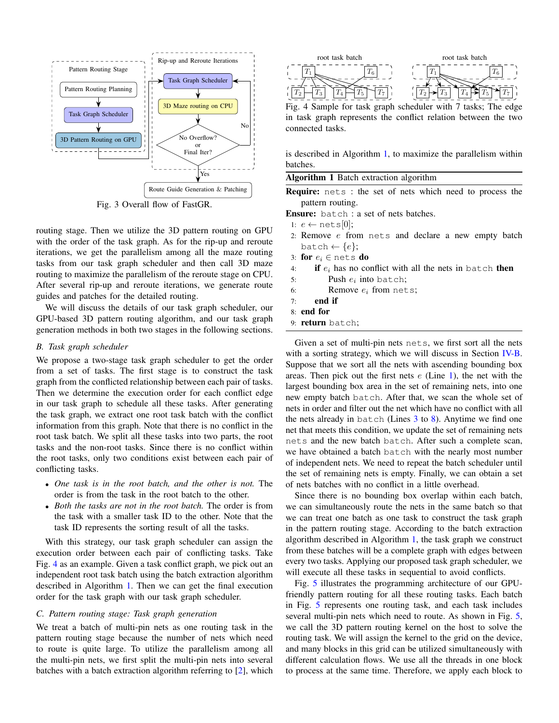<span id="page-2-0"></span>

Fig. 3 Overall flow of FastGR.

routing stage. Then we utilize the 3D pattern routing on GPU with the order of the task graph. As for the rip-up and reroute iterations, we get the parallelism among all the maze routing tasks from our task graph scheduler and then call 3D maze routing to maximize the parallelism of the reroute stage on CPU. After several rip-up and reroute iterations, we generate route guides and patches for the detailed routing.

We will discuss the details of our task graph scheduler, our GPU-based 3D pattern routing algorithm, and our task graph generation methods in both two stages in the following sections.

### *B. Task graph scheduler*

We propose a two-stage task graph scheduler to get the order from a set of tasks. The first stage is to construct the task graph from the conflicted relationship between each pair of tasks. Then we determine the execution order for each conflict edge in our task graph to schedule all these tasks. After generating the task graph, we extract one root task batch with the conflict information from this graph. Note that there is no conflict in the root task batch. We split all these tasks into two parts, the root tasks and the non-root tasks. Since there is no conflict within the root tasks, only two conditions exist between each pair of conflicting tasks.

- *One task is in the root batch, and the other is not.* The order is from the task in the root batch to the other.
- *Both the tasks are not in the root batch.* The order is from the task with a smaller task ID to the other. Note that the task ID represents the sorting result of all the tasks.

With this strategy, our task graph scheduler can assign the execution order between each pair of conflicting tasks. Take Fig. [4](#page-2-1) as an example. Given a task conflict graph, we pick out an independent root task batch using the batch extraction algorithm described in Algorithm [1.](#page-2-2) Then we can get the final execution order for the task graph with our task graph scheduler.

# *C. Pattern routing stage: Task graph generation*

We treat a batch of multi-pin nets as one routing task in the pattern routing stage because the number of nets which need to route is quite large. To utilize the parallelism among all the multi-pin nets, we first split the multi-pin nets into several batches with a batch extraction algorithm referring to [\[2\]](#page-5-1), which

<span id="page-2-1"></span>

Fig. 4 Sample for task graph scheduler with 7 tasks; The edge in task graph represents the conflict relation between the two connected tasks.

is described in Algorithm [1,](#page-2-2) to maximize the parallelism within batches.

<span id="page-2-2"></span>

Require: nets : the set of nets which need to process the pattern routing.

Ensure: batch : a set of nets batches.

- <span id="page-2-3"></span>1:  $e$  ← nets[0];
- 2: Remove e from nets and declare a new empty batch batch  $\leftarrow \{e\};$
- <span id="page-2-4"></span>3: for  $e_i \in \text{nets}$  do
- 4: if  $e_i$  has no conflict with all the nets in batch then
- 5: Push  $e_i$  into batch;

6: Remove  $e_i$  from nets;

- 7: end if
- <span id="page-2-5"></span>8: end for
- 9: return batch;

Given a set of multi-pin nets nets, we first sort all the nets with a sorting strategy, which we will discuss in Section [IV-B.](#page-4-1) Suppose that we sort all the nets with ascending bounding box areas. Then pick out the first nets  $e$  (Line [1\)](#page-2-3), the net with the largest bounding box area in the set of remaining nets, into one new empty batch batch. After that, we scan the whole set of nets in order and filter out the net which have no conflict with all the nets already in batch (Lines  $3$  to  $8$ ). Anytime we find one net that meets this condition, we update the set of remaining nets nets and the new batch batch. After such a complete scan, we have obtained a batch batch with the nearly most number of independent nets. We need to repeat the batch scheduler until the set of remaining nets is empty. Finally, we can obtain a set of nets batches with no conflict in a little overhead.

Since there is no bounding box overlap within each batch, we can simultaneously route the nets in the same batch so that we can treat one batch as one task to construct the task graph in the pattern routing stage. According to the batch extraction algorithm described in Algorithm [1,](#page-2-2) the task graph we construct from these batches will be a complete graph with edges between every two tasks. Applying our proposed task graph scheduler, we will execute all these tasks in sequential to avoid conflicts.

Fig. [5](#page-3-0) illustrates the programming architecture of our GPUfriendly pattern routing for all these routing tasks. Each batch in Fig. [5](#page-3-0) represents one routing task, and each task includes several multi-pin nets which need to route. As shown in Fig. [5,](#page-3-0) we call the 3D pattern routing kernel on the host to solve the routing task. We will assign the kernel to the grid on the device, and many blocks in this grid can be utilized simultaneously with different calculation flows. We use all the threads in one block to process at the same time. Therefore, we apply each block to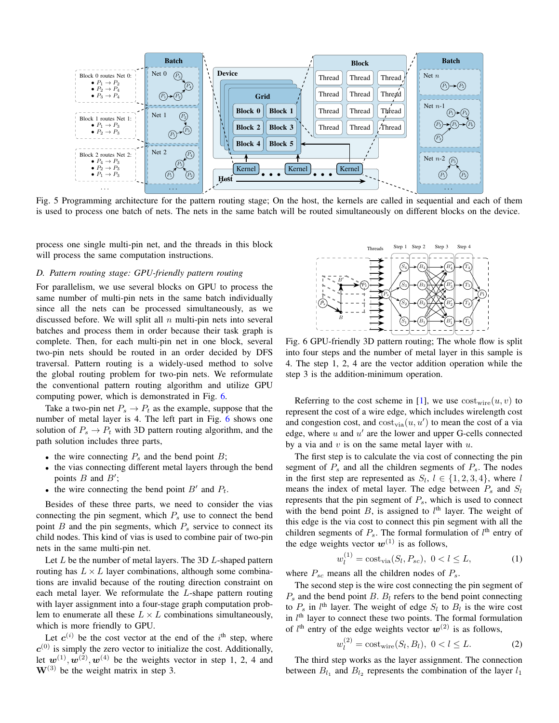<span id="page-3-0"></span>

Fig. 5 Programming architecture for the pattern routing stage; On the host, the kernels are called in sequential and each of them is used to process one batch of nets. The nets in the same batch will be routed simultaneously on different blocks on the device.

process one single multi-pin net, and the threads in this block will process the same computation instructions.

### *D. Pattern routing stage: GPU-friendly pattern routing*

For parallelism, we use several blocks on GPU to process the same number of multi-pin nets in the same batch individually since all the nets can be processed simultaneously, as we discussed before. We will split all  $n$  multi-pin nets into several batches and process them in order because their task graph is complete. Then, for each multi-pin net in one block, several two-pin nets should be routed in an order decided by DFS traversal. Pattern routing is a widely-used method to solve the global routing problem for two-pin nets. We reformulate the conventional pattern routing algorithm and utilize GPU computing power, which is demonstrated in Fig. [6.](#page-3-1)

Take a two-pin net  $P_s \to P_t$  as the example, suppose that the number of metal layer is 4. The left part in Fig. [6](#page-3-1) shows one solution of  $P_s \to P_t$  with 3D pattern routing algorithm, and the path solution includes three parts,

- the wire connecting  $P_s$  and the bend point  $B$ ;
- the vias connecting different metal layers through the bend points  $B$  and  $B'$ ;
- the wire connecting the bend point  $B'$  and  $P_t$ .

Besides of these three parts, we need to consider the vias connecting the pin segment, which  $P_s$  use to connect the bend point  $B$  and the pin segments, which  $P<sub>s</sub>$  service to connect its child nodes. This kind of vias is used to combine pair of two-pin nets in the same multi-pin net.

Let  $L$  be the number of metal layers. The 3D  $L$ -shaped pattern routing has  $L \times L$  layer combinations, although some combinations are invalid because of the routing direction constraint on each metal layer. We reformulate the L-shape pattern routing with layer assignment into a four-stage graph computation problem to enumerate all these  $L \times L$  combinations simultaneously, which is more friendly to GPU.

Let  $c^{(i)}$  be the cost vector at the end of the  $i<sup>th</sup>$  step, where  $c^{(0)}$  is simply the zero vector to initialize the cost. Additionally, let  $w^{(1)}, w^{(2)}, w^{(4)}$  be the weights vector in step 1, 2, 4 and  $W^{(3)}$  be the weight matrix in step 3.

<span id="page-3-1"></span>

Fig. 6 GPU-friendly 3D pattern routing; The whole flow is split into four steps and the number of metal layer in this sample is 4. The step 1, 2, 4 are the vector addition operation while the step 3 is the addition-minimum operation.

Referring to the cost scheme in [\[1\]](#page-5-0), we use  $cost_{wire}(u, v)$  to represent the cost of a wire edge, which includes wirelength cost and congestion cost, and  $cost_{via}(u, u')$  to mean the cost of a via edge, where  $u$  and  $u'$  are the lower and upper G-cells connected by a via and  $v$  is on the same metal layer with  $u$ .

The first step is to calculate the via cost of connecting the pin segment of  $P_s$  and all the children segments of  $P_s$ . The nodes in the first step are represented as  $S_l$ ,  $l \in \{1, 2, 3, 4\}$ , where l means the index of metal layer. The edge between  $P_s$  and  $S_l$ represents that the pin segment of  $P_s$ , which is used to connect with the bend point  $B$ , is assigned to  $l<sup>th</sup>$  layer. The weight of this edge is the via cost to connect this pin segment with all the children segments of  $P_s$ . The formal formulation of  $l<sup>th</sup>$  entry of the edge weights vector  $w^{(1)}$  is as follows,

$$
w_l^{(1)} = \text{cost}_{\text{via}}(S_l, P_{sc}), \ 0 < l \le L,\tag{1}
$$

where  $P_{sc}$  means all the children nodes of  $P_{s}$ .

The second step is the wire cost connecting the pin segment of  $P_s$  and the bend point B.  $B_l$  refers to the bend point connecting to  $P_s$  in  $l^{\text{th}}$  layer. The weight of edge  $S_l$  to  $B_l$  is the wire cost in  $l<sup>th</sup>$  layer to connect these two points. The formal formulation of  $l^{\text{th}}$  entry of the edge weights vector  $w^{(2)}$  is as follows,

$$
w_l^{(2)} = \text{cost}_{\text{wire}}(S_l, B_l), \ 0 < l \le L. \tag{2}
$$

The third step works as the layer assignment. The connection between  $B_{l_1}$  and  $B_{l_2}$  represents the combination of the layer  $l_1$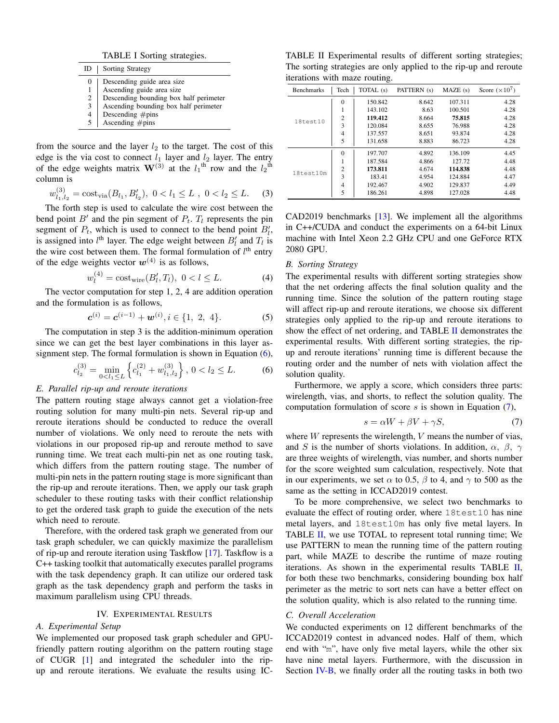TABLE I Sorting strategies.

| ID       | Sorting Strategy                       |
|----------|----------------------------------------|
| $\theta$ | Descending guide area size             |
|          | Ascending guide area size              |
| 2        | Descending bounding box half perimeter |
| 3        | Ascending bounding box half perimeter  |
| 4        | Descending $#pins$                     |
| 5        | Ascending $#pins$                      |

from the source and the layer  $l_2$  to the target. The cost of this edge is the via cost to connect  $l_1$  layer and  $l_2$  layer. The entry of the edge weights matrix  $\mathbf{W}^{(3)}$  at the  $l_1$ <sup>th</sup> row and the  $l_2$ <sup>th</sup> column is

$$
w_{l_1, l_2}^{(3)} = \text{cost}_{\text{via}}(B_{l_1}, B_{l_2}'), \ 0 < l_1 \le L \ , \ 0 < l_2 \le L. \tag{3}
$$

The forth step is used to calculate the wire cost between the bend point  $B'$  and the pin segment of  $P_t$ .  $T_l$  represents the pin segment of  $P_t$ , which is used to connect to the bend point  $B'_t$ , is assigned into  $l^{\text{th}}$  layer. The edge weight between  $B_l'$  and  $T_l$  is the wire cost between them. The formal formulation of  $l<sup>th</sup>$  entry of the edge weights vector  $w^{(4)}$  is as follows,

$$
w_l^{(4)} = \text{cost}_{\text{wire}}(B_l', T_l), \ 0 < l \le L. \tag{4}
$$

The vector computation for step 1, 2, 4 are addition operation and the formulation is as follows,

$$
\boldsymbol{c}^{(i)} = \boldsymbol{c}^{(i-1)} + \boldsymbol{w}^{(i)}, i \in \{1, 2, 4\}.
$$
 (5)

The computation in step 3 is the addition-minimum operation since we can get the best layer combinations in this layer as-signment step. The formal formulation is shown in Equation [\(6\)](#page-4-2),

<span id="page-4-2"></span>
$$
c_{l_2}^{(3)} = \min_{0 < l_1 \le L} \left\{ c_{l_1}^{(2)} + w_{l_1, l_2}^{(3)} \right\}, \ 0 < l_2 \le L. \tag{6}
$$

# *E. Parallel rip-up and reroute iterations*

The pattern routing stage always cannot get a violation-free routing solution for many multi-pin nets. Several rip-up and reroute iterations should be conducted to reduce the overall number of violations. We only need to reroute the nets with violations in our proposed rip-up and reroute method to save running time. We treat each multi-pin net as one routing task, which differs from the pattern routing stage. The number of multi-pin nets in the pattern routing stage is more significant than the rip-up and reroute iterations. Then, we apply our task graph scheduler to these routing tasks with their conflict relationship to get the ordered task graph to guide the execution of the nets which need to reroute.

Therefore, with the ordered task graph we generated from our task graph scheduler, we can quickly maximize the parallelism of rip-up and reroute iteration using Taskflow [\[17\]](#page-5-16). Taskflow is a C++ tasking toolkit that automatically executes parallel programs with the task dependency graph. It can utilize our ordered task graph as the task dependency graph and perform the tasks in maximum parallelism using CPU threads.

#### IV. EXPERIMENTAL RESULTS

### <span id="page-4-0"></span>*A. Experimental Setup*

We implemented our proposed task graph scheduler and GPUfriendly pattern routing algorithm on the pattern routing stage of CUGR [\[1\]](#page-5-0) and integrated the scheduler into the ripup and reroute iterations. We evaluate the results using IC-

<span id="page-4-3"></span>TABLE II Experimental results of different sorting strategies; The sorting strategies are only applied to the rip-up and reroute iterations with maze routing.

| <b>Benchmarks</b> | Tech           | TOTAL (s) | PATTERN (s) | MAZE(s) | Score $(\times 10^7)$ |
|-------------------|----------------|-----------|-------------|---------|-----------------------|
|                   | $\theta$       | 150.842   | 8.642       | 107.311 | 4.28                  |
|                   |                | 143.102   | 8.63        | 100.501 | 4.28                  |
| 18test10          | $\mathfrak{D}$ | 119.412   | 8.664       | 75.815  | 4.28                  |
|                   | 3              | 120.084   | 8.655       | 76.988  | 4.28                  |
|                   | 4              | 137.557   | 8.651       | 93.874  | 4.28                  |
|                   | 5              | 131.658   | 8.883       | 86.723  | 4.28                  |
|                   | $\theta$       | 197.707   | 4.892       | 136.109 | 4.45                  |
|                   |                | 187.584   | 4.866       | 127.72  | 4.48                  |
|                   | $\overline{c}$ | 173.811   | 4.674       | 114.838 | 4.48                  |
| 18test10m         | 3              | 183.41    | 4.954       | 124.884 | 4.47                  |
|                   | 4              | 192.467   | 4.902       | 129.837 | 4.49                  |
|                   | 5              | 186.261   | 4.898       | 127.028 | 4.48                  |

CAD2019 benchmarks [\[13\]](#page-5-11). We implement all the algorithms in C++/CUDA and conduct the experiments on a 64-bit Linux machine with Intel Xeon 2.2 GHz CPU and one GeForce RTX 2080 GPU.

### <span id="page-4-1"></span>*B. Sorting Strategy*

The experimental results with different sorting strategies show that the net ordering affects the final solution quality and the running time. Since the solution of the pattern routing stage will affect rip-up and reroute iterations, we choose six different strategies only applied to the rip-up and reroute iterations to show the effect of net ordering, and TABLE [II](#page-4-3) demonstrates the experimental results. With different sorting strategies, the ripup and reroute iterations' running time is different because the routing order and the number of nets with violation affect the solution quality.

Furthermore, we apply a score, which considers three parts: wirelength, vias, and shorts, to reflect the solution quality. The computation formulation of score  $s$  is shown in Equation  $(7)$ ,

<span id="page-4-4"></span>
$$
s = \alpha W + \beta V + \gamma S,\tag{7}
$$

where  $W$  represents the wirelength,  $V$  means the number of vias, and S is the number of shorts violations. In addition,  $\alpha$ ,  $\beta$ ,  $\gamma$ are three weights of wirelength, vias number, and shorts number for the score weighted sum calculation, respectively. Note that in our experiments, we set  $\alpha$  to 0.5,  $\beta$  to 4, and  $\gamma$  to 500 as the same as the setting in ICCAD2019 contest.

To be more comprehensive, we select two benchmarks to evaluate the effect of routing order, where 18test10 has nine metal layers, and 18test10m has only five metal layers. In TABLE [II,](#page-4-3) we use TOTAL to represent total running time; We use PATTERN to mean the running time of the pattern routing part, while MAZE to describe the runtime of maze routing iterations. As shown in the experimental results TABLE [II,](#page-4-3) for both these two benchmarks, considering bounding box half perimeter as the metric to sort nets can have a better effect on the solution quality, which is also related to the running time.

### *C. Overall Acceleration*

We conducted experiments on 12 different benchmarks of the ICCAD2019 contest in advanced nodes. Half of them, which end with "m", have only five metal layers, while the other six have nine metal layers. Furthermore, with the discussion in Section [IV-B,](#page-4-1) we finally order all the routing tasks in both two